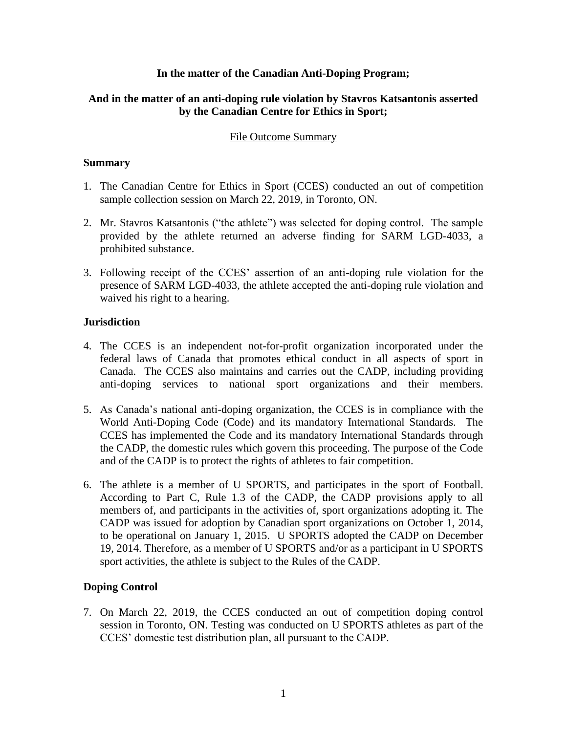#### **In the matter of the Canadian Anti-Doping Program;**

## **And in the matter of an anti-doping rule violation by Stavros Katsantonis asserted by the Canadian Centre for Ethics in Sport;**

## File Outcome Summary

## **Summary**

- 1. The Canadian Centre for Ethics in Sport (CCES) conducted an out of competition sample collection session on March 22, 2019, in Toronto, ON.
- 2. Mr. Stavros Katsantonis ("the athlete") was selected for doping control. The sample provided by the athlete returned an adverse finding for SARM LGD-4033, a prohibited substance.
- 3. Following receipt of the CCES' assertion of an anti-doping rule violation for the presence of SARM LGD-4033, the athlete accepted the anti-doping rule violation and waived his right to a hearing.

## **Jurisdiction**

- 4. The CCES is an independent not-for-profit organization incorporated under the federal laws of Canada that promotes ethical conduct in all aspects of sport in Canada. The CCES also maintains and carries out the CADP, including providing anti-doping services to national sport organizations and their members.
- 5. As Canada's national anti-doping organization, the CCES is in compliance with the World Anti-Doping Code (Code) and its mandatory International Standards. The CCES has implemented the Code and its mandatory International Standards through the CADP, the domestic rules which govern this proceeding. The purpose of the Code and of the CADP is to protect the rights of athletes to fair competition.
- 6. The athlete is a member of U SPORTS, and participates in the sport of Football. According to Part C, Rule 1.3 of the CADP, the CADP provisions apply to all members of, and participants in the activities of, sport organizations adopting it. The CADP was issued for adoption by Canadian sport organizations on October 1, 2014, to be operational on January 1, 2015. U SPORTS adopted the CADP on December 19, 2014. Therefore, as a member of U SPORTS and/or as a participant in U SPORTS sport activities, the athlete is subject to the Rules of the CADP.

# **Doping Control**

7. On March 22, 2019, the CCES conducted an out of competition doping control session in Toronto, ON. Testing was conducted on U SPORTS athletes as part of the CCES' domestic test distribution plan, all pursuant to the CADP.